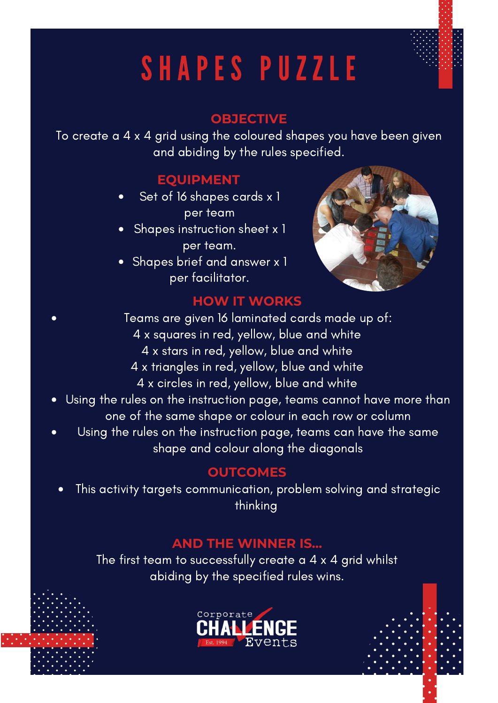# SHAPES PUZZLE

#### **OBJECTIVE**

To create a 4 x 4 grid using the coloured shapes you have been given and abiding by the rules specified.

### **EQUIPMENT**

- Set of 16 shapes cards x 1 per team
- Shapes instruction sheet x 1 per team.
- Shapes brief and answer x 1 per facilitator.



## **HOW IT WORKS**

- Teams are given 16 laminated cards made up of: 4 x squares in red, yellow, blue and white 4 x stars in red, yellow, blue and white 4 x triangles in red, yellow, blue and white
	- 4 x circles in red, yellow, blue and white
- Using the rules on the instruction page, teams cannot have more than one of the same shape or colour in each row or column
- Using the rules on the instruction page, teams can have the same shape and colour along the diagonals

## **OUTCOMES**

This activity targets communication, problem solving and strategic thinking

### **AND THE WINNER IS...**

The first team to successfully create a 4 x 4 grid whilst abiding by the specified rules wins.

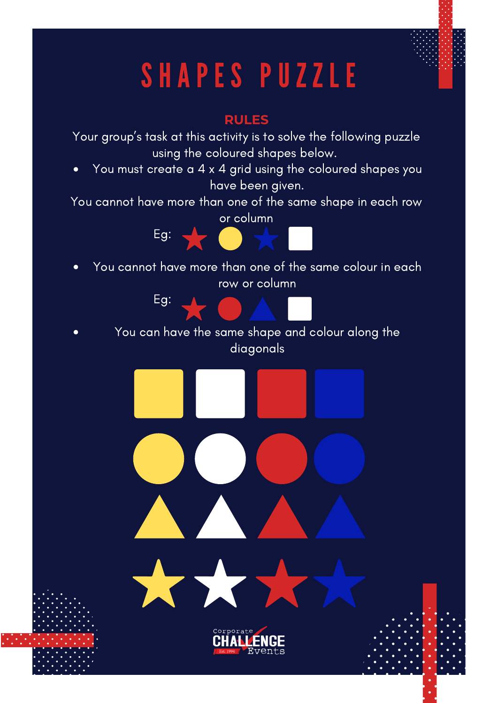# SHAPES PUZZLE

## **RULES**

Your group's task at this activity is to solve the following puzzle using the coloured shapes below.

You must create a 4 x 4 grid using the coloured shapes you have been given.

You cannot have more than one of the same shape in each row



You cannot have more than one of the same colour in each row or column



You can have the same shape and colour along the diagonals





 $\left\langle \cdot , \cdot \right\rangle$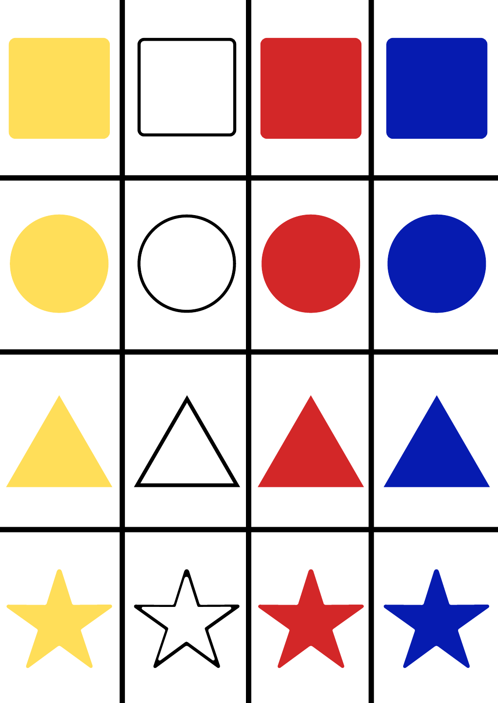